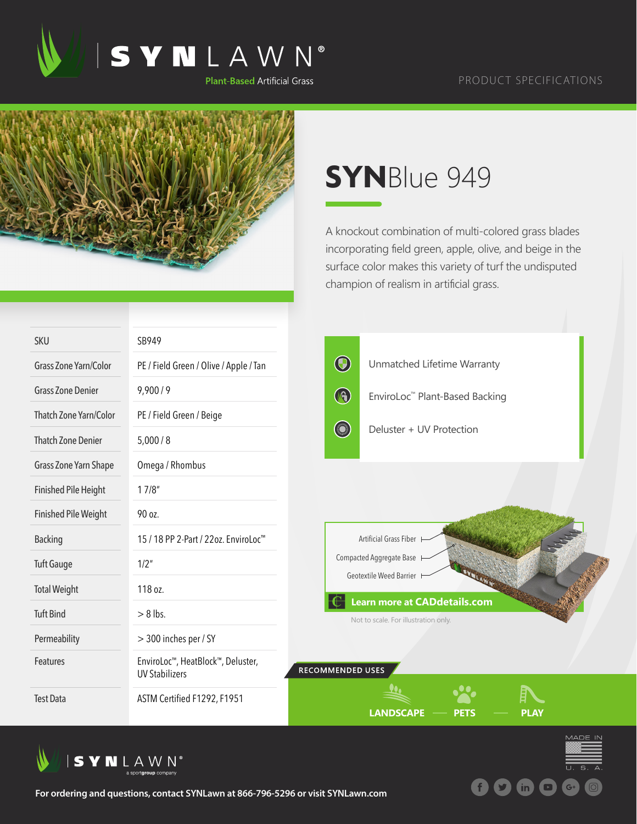



## **SYN**Blue 949

A knockout combination of multi-colored grass blades incorporating field green, apple, olive, and beige in the surface color makes this variety of turf the undisputed champion of realism in artificial grass.

| <b>SKU</b>                  | SB949                                                      |                  |                                                                             |             |
|-----------------------------|------------------------------------------------------------|------------------|-----------------------------------------------------------------------------|-------------|
| Grass Zone Yarn/Color       | PE / Field Green / Olive / Apple / Tan                     | $\bigcirc$       | Unmatched Lifetime Warranty                                                 |             |
| <b>Grass Zone Denier</b>    | 9,900/9                                                    | $\bigcirc$       | EnviroLoc™ Plant-Based Backing                                              |             |
| Thatch Zone Yarn/Color      | PE / Field Green / Beige                                   |                  |                                                                             |             |
| <b>Thatch Zone Denier</b>   | 5,000/8                                                    | Sund             | Deluster + UV Protection                                                    |             |
| Grass Zone Yarn Shape       | Omega / Rhombus                                            |                  |                                                                             |             |
| <b>Finished Pile Height</b> | 17/8"                                                      |                  |                                                                             |             |
| <b>Finished Pile Weight</b> | 90 oz.                                                     |                  |                                                                             |             |
| <b>Backing</b>              | 15 / 18 PP 2-Part / 22oz. EnviroLoc <sup>™</sup>           |                  | Artificial Grass Fiber                                                      |             |
| <b>Tuft Gauge</b>           | 1/2"                                                       |                  | Compacted Aggregate Base H<br>Geotextile Weed Barrier                       |             |
| <b>Total Weight</b>         | 118 oz.                                                    |                  |                                                                             |             |
| <b>Tuft Bind</b>            | $> 8$ lbs.                                                 |                  | <b>Learn more at CADdetails.com</b><br>Not to scale. For illustration only. |             |
| Permeability                | > 300 inches per / SY                                      |                  |                                                                             |             |
| Features                    | EnviroLoc™, HeatBlock™, Deluster,<br><b>UV Stabilizers</b> | RECOMMENDED USES |                                                                             |             |
| <b>Test Data</b>            | ASTM Certified F1292, F1951                                |                  | <b>LANDSCAPE</b><br>PETS                                                    | <b>PLAY</b> |





**For ordering and questions, contact SYNLawn at 866-796-5296 or visit SYNLawn.com**